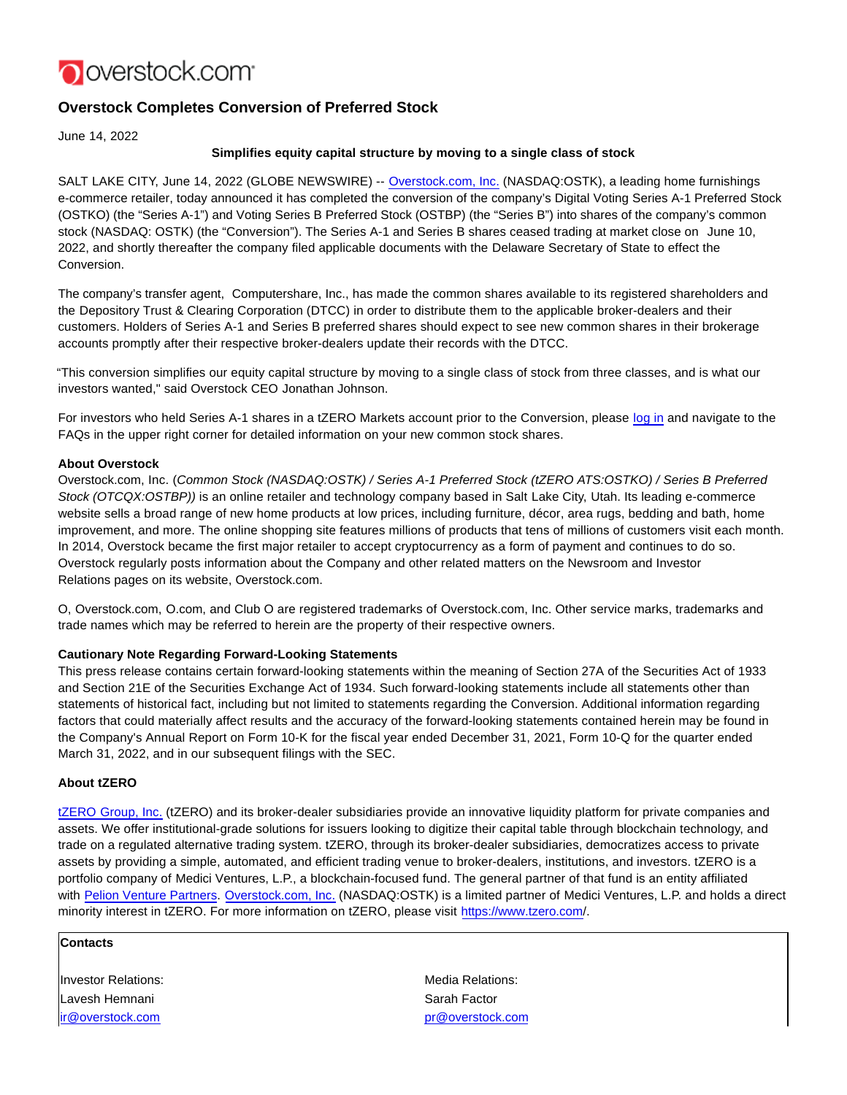

# **Overstock Completes Conversion of Preferred Stock**

June 14, 2022

## **Simplifies equity capital structure by moving to a single class of stock**

SALT LAKE CITY, June 14, 2022 (GLOBE NEWSWIRE) -- [Overstock.com, Inc. \(](https://www.globenewswire.com/Tracker?data=zcV0YlsTXjF5UrZO_kBPALhvOEsFPNI4xHFtdAbYy7z7VpREoyLfnFUa3_A9D2eKlycbTA87SGdcBkN9PENRy5ooA3O7sss8YXTwPrfjnUI=)NASDAQ:OSTK), a leading home furnishings e-commerce retailer, today announced it has completed the conversion of the company's Digital Voting Series A-1 Preferred Stock (OSTKO) (the "Series A-1") and Voting Series B Preferred Stock (OSTBP) (the "Series B") into shares of the company's common stock (NASDAQ: OSTK) (the "Conversion"). The Series A-1 and Series B shares ceased trading at market close on June 10, 2022, and shortly thereafter the company filed applicable documents with the Delaware Secretary of State to effect the Conversion.

The company's transfer agent, Computershare, Inc., has made the common shares available to its registered shareholders and the Depository Trust & Clearing Corporation (DTCC) in order to distribute them to the applicable broker-dealers and their customers. Holders of Series A-1 and Series B preferred shares should expect to see new common shares in their brokerage accounts promptly after their respective broker-dealers update their records with the DTCC.

"This conversion simplifies our equity capital structure by moving to a single class of stock from three classes, and is what our investors wanted," said Overstock CEO Jonathan Johnson.

For investors who held Series A-1 shares in a tZERO Markets account prior to the Conversion, please [log in a](https://www.globenewswire.com/Tracker?data=yJmEuju5yS8ncn4UIhF4CJEtBpg-m29SEDtOIw-AnDhKTBa7a_NH4RWZMGhfXrLoND5-lMQBoGR9My69V3-hNXJKu2sq90P9xMQHCWUsIc1vjEaNP3QK2ib15JBCnJH6-hD2QD-j6P2JtwjjbSfdTgHme6DAoNvXjVMJoHYhTMsOCno3LbBLCJS-4nrzdG3H67MhzZ1GAI_XWU035lNuRmxolhnw6vk5OYGzcblkGiM8E0tbOS2zlBBCAV_FFebfiy7t-Uk7IYnEoh7Ds-fSXw==)nd navigate to the FAQs in the upper right corner for detailed information on your new common stock shares.

### **About Overstock**

Overstock.com, Inc. (Common Stock (NASDAQ:OSTK) / Series A-1 Preferred Stock (tZERO ATS:OSTKO) / Series B Preferred Stock (OTCQX:OSTBP)) is an online retailer and technology company based in Salt Lake City, Utah. Its leading e-commerce website sells a broad range of new home products at low prices, including furniture, décor, area rugs, bedding and bath, home improvement, and more. The online shopping site features millions of products that tens of millions of customers visit each month. In 2014, Overstock became the first major retailer to accept cryptocurrency as a form of payment and continues to do so. Overstock regularly posts information about the Company and other related matters on the Newsroom and Investor Relations pages on its website, Overstock.com.

O, Overstock.com, O.com, and Club O are registered trademarks of Overstock.com, Inc. Other service marks, trademarks and trade names which may be referred to herein are the property of their respective owners.

#### **Cautionary Note Regarding Forward-Looking Statements**

This press release contains certain forward-looking statements within the meaning of Section 27A of the Securities Act of 1933 and Section 21E of the Securities Exchange Act of 1934. Such forward-looking statements include all statements other than statements of historical fact, including but not limited to statements regarding the Conversion. Additional information regarding factors that could materially affect results and the accuracy of the forward-looking statements contained herein may be found in the Company's Annual Report on Form 10-K for the fiscal year ended December 31, 2021, Form 10-Q for the quarter ended March 31, 2022, and in our subsequent filings with the SEC.

#### **About tZERO**

[tZERO Group, Inc.](https://www.globenewswire.com/Tracker?data=7F9YURGStLAS7aOCHcTFv6E9ZDc1BUDR0tGE5yUom27tqtmLtlgzdvb_RgHQBFLTc0MgBmaWuozHblj-cCyKsAsdkv6_35vbB9WlgeGyhhDe4bL95h1MTqi8jdSVYukPIs4un1h8dtN8BtpgrzzixR7zrxEQdHLAGQ4mfXJkATZq7QfAZEufSK6hKaBqjaypH9p-jXljCc7PSzOnx-m-bsT4Xbj9T3xAaFIR9vOtZ-Lh7UuPIyOU3xYq1MrlZ5WnDh7PMd0D5biJkDzDzs7TAbGnABEscg6j5bCNWnuT7D8V4ZPeESHtoyKbk686YdFbEHVcDOJV6bEjmZ9s3tDb2SAWmHgcPHCAyAgoc4bluJJuJPSXW2zaZN7KSEkNSpcIPzrionuWlLI2B4RWnCIkmOrSS_LVWGbN-mfcMUiHtu-NYfbAASVUoNXj7DqltStvIfuMBg-LshXd78BWBazosMggFeFMCQeUk9NZsxzZdmc=) (tZERO) and its broker-dealer subsidiaries provide an innovative liquidity platform for private companies and assets. We offer institutional-grade solutions for issuers looking to digitize their capital table through blockchain technology, and trade on a regulated alternative trading system. tZERO, through its broker-dealer subsidiaries, democratizes access to private assets by providing a simple, automated, and efficient trading venue to broker-dealers, institutions, and investors. tZERO is a portfolio company of Medici Ventures, L.P., a blockchain-focused fund. The general partner of that fund is an entity affiliated with [Pelion Venture Partners.](https://www.globenewswire.com/Tracker?data=urLqpw6tDT4rMghvcBhBsNEU1_PIUNtI3W5kImxLZCKEL6VDHCxGHJwH94mQDyPez_v6gy6LpmOAt7C3Xk5zkeTCeIRRkiRT80dvk34MfCu97ccOIIi_HJJgFyc9GBcTq5TZddWOV97VObZupWwmoQDqg3ETuY8fqnNRioyWIOy6_JZHkg_NJn-3IRFMTR_g12gvdyL_CqdylCjdUyUNd40LcR-8bwgvcjPzazXhxfP_JlBbtuYYP8fGPZF1PCWsdfnIYEhxB9ha3P0JV1KvmkSoc5rqAB6VpDtk0-lm_-9B4TJkBiLpsu6V6vMMFyNd3Pw6tcsWOOjTDBxmsIflsOsJKhXoiReiZE0o_pXLgFEa881gUA208yE25uBIBvrUGN8friYIERcq2a8-8YM1MPYYSu3qZE1yodZ4donV2nvYmbB_JKUHAPzce48kK-HgtLxc1mrXa2LjQUh-evCvVH2se8TibPIGhB9LNhhRCwfGk6rix4_E1qnwD3qwp4uR) [Overstock.com, Inc. \(](https://www.globenewswire.com/Tracker?data=zcV0YlsTXjF5UrZO_kBPAD604MYnm6yyd3RVQMFTu7uYlbyfXIMshfjnMFmMiN9iui-HKMJ6nmSLXOIuDsbAR3yW9SbSP_AQppvxJDVs1hf0VlxYGCZF8TBQdHY4XKH5hNW-s4TLpmpwA9m7jDv3eFzKSrF4-wHO6EUHUaa26LK5la4BiRgSIBEH6yjf3pnaRptZ30psydSHgI_7lKZRXYBh8kM2nqHOUa3AOmO3jEqdoi2LHS-dTjfh3TaWRL2kouMuOIGiPm42v48oM3T3xGPV8JooHUZebaMi45uFn0YHrGQmZeR4H9dhQpO-aMJ9_S3_y68Vsff_58Y3JnvMhQ==)NASDAQ:OSTK) is a limited partner of Medici Ventures, L.P. and holds a direct minority interest in tZERO. For more information on tZERO, please visit [https://www.tzero.com/](https://www.globenewswire.com/Tracker?data=g3wfymqJSXcqY0ogS2Qzf73uuE_yYSteh3CDrThNts6mh3tBAiMdHj73irR212miMCps_lfwWat8fh5GdrFAYhexNoUvqvvNZ1a6heymPknIYmfGcCk75aMDeccXPvvpCPNN0jxsZMDyMx3iVbMAk9A5b6jZ5wpFC4fYRlGoqsz6GbpDieHEB5fmlIZdRjlH-QJgs9QDWdWFpNH4BuP_L4_j3_IKo0f7T9u2imTzZwxJGr_mR2rm9fBJhQTJ_9mDL-qg_oWh2uOFjW4XD5FZZwefJVGQCGx3Ft5HDGKdgeulY488ZRtBh8nHnQ84fvKISvGPVfqiXWjrGTxlu1n8i8eV-Beu5xN7rg1w1O1UOdgTLANchUQMyVte81aVeNREiUrAvAuGSOLZqoj9ja8bTMOK3-PyNbkOwcYe0sgKkFLjk8dJ1pFfP5uupPH_QI1GijscVrdJIUTKeDaLuirqjwDJmdWfnFlsIs4F6fugn63OFDFEt2ERN8hiGJAaBspH).

## **Contacts**

**Investor Relations:** Media Relations: Media Relations: Lavesh Hemnani **National Sarah Factor** Sarah Factor [ir@overstock.com](mailto:ir@overstock.com) [pr@overstock.com](mailto:pr@overstock.com)